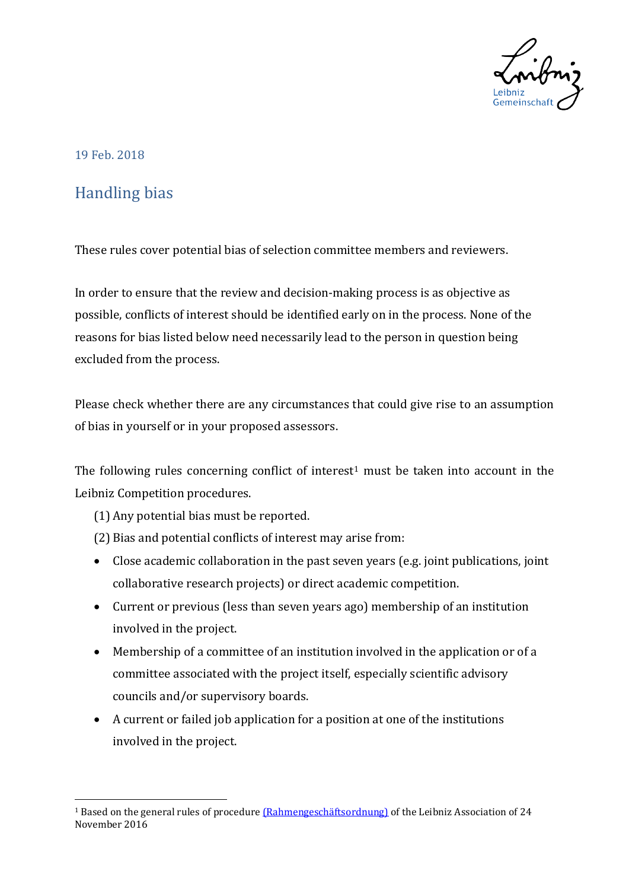

## 19 Feb. 2018

 $\overline{a}$ 

## Handling bias

These rules cover potential bias of selection committee members and reviewers.

In order to ensure that the review and decision-making process is as objective as possible, conflicts of interest should be identified early on in the process. None of the reasons for bias listed below need necessarily lead to the person in question being excluded from the process.

Please check whether there are any circumstances that could give rise to an assumption of bias in yourself or in your proposed assessors.

The following rules concerning conflict of interest<sup>[1](#page-0-0)</sup> must be taken into account in the Leibniz Competition procedures.

- (1) Any potential bias must be reported.
- (2) Bias and potential conflicts of interest may arise from:
- Close academic collaboration in the past seven years (e.g. joint publications, joint collaborative research projects) or direct academic competition.
- Current or previous (less than seven years ago) membership of an institution involved in the project.
- Membership of a committee of an institution involved in the application or of a committee associated with the project itself, especially scientific advisory councils and/or supervisory boards.
- A current or failed job application for a position at one of the institutions involved in the project.

<span id="page-0-0"></span><sup>&</sup>lt;sup>1</sup> Based on the general rules of procedure *(Rahmengeschäftsordnung)* of the Leibniz Association of 24 November 2016